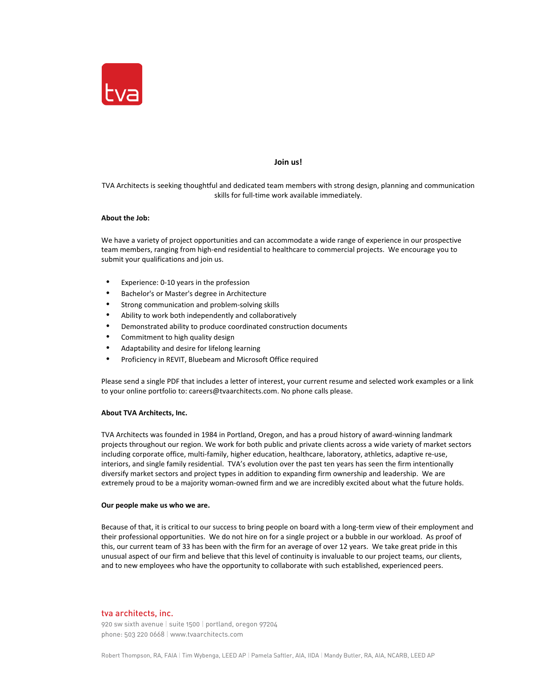

# **Join us!**

TVA Architects is seeking thoughtful and dedicated team members with strong design, planning and communication skills for full-time work available immediately.

# **About the Job:**

We have a variety of project opportunities and can accommodate a wide range of experience in our prospective team members, ranging from high-end residential to healthcare to commercial projects. We encourage you to submit your qualifications and join us.

- Experience: 0-10 years in the profession
- Bachelor's or Master's degree in Architecture
- Strong communication and problem-solving skills
- Ability to work both independently and collaboratively
- Demonstrated ability to produce coordinated construction documents
- Commitment to high quality design
- Adaptability and desire for lifelong learning
- Proficiency in REVIT, Bluebeam and Microsoft Office required

Please send a single PDF that includes a letter of interest, your current resume and selected work examples or a link to your online portfolio to: careers@tvaarchitects.com. No phone calls please.

#### **About TVA Architects, Inc.**

TVA Architects was founded in 1984 in Portland, Oregon, and has a proud history of award-winning landmark projects throughout our region. We work for both public and private clients across a wide variety of market sectors including corporate office, multi-family, higher education, healthcare, laboratory, athletics, adaptive re-use, interiors, and single family residential. TVA's evolution over the past ten years has seen the firm intentionally diversify market sectors and project types in addition to expanding firm ownership and leadership. We are extremely proud to be a majority woman-owned firm and we are incredibly excited about what the future holds.

# **Our people make us who we are.**

Because of that, it is critical to our success to bring people on board with a long-term view of their employment and their professional opportunities. We do not hire on for a single project or a bubble in our workload. As proof of this, our current team of 33 has been with the firm for an average of over 12 years. We take great pride in this unusual aspect of our firm and believe that this level of continuity is invaluable to our project teams, our clients, and to new employees who have the opportunity to collaborate with such established, experienced peers.

# tva architects, inc.

920 sw sixth avenue | suite 1500 | portland, oregon 97204 phone: 503 220 0668 | www.tvaarchitects.com